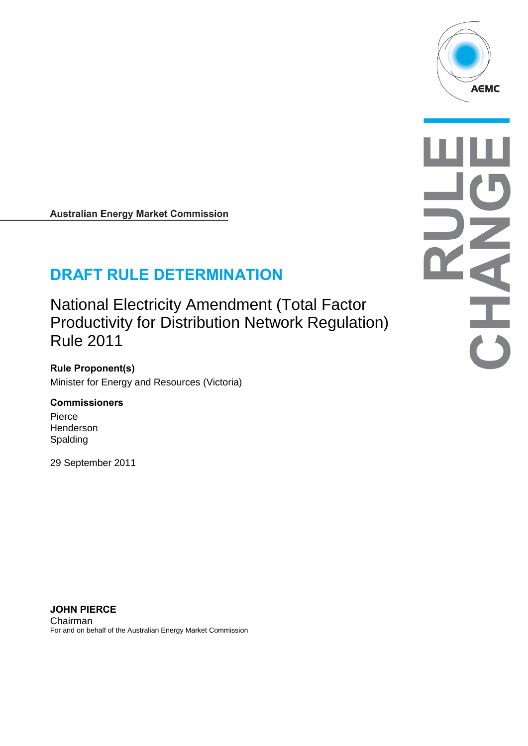

#### **Australian Energy Market Commission**

# **DRAFT RULE DETERMINATION**

National Electricity Amendment (Total Factor Productivity for Distribution Network Regulation) Rule 2011

**Rule Proponent(s)** Minister for Energy and Resources (Victoria)

#### **Commissioners**

Pierce Henderson Spalding

29 September 2011

**JOHN PIERCE** Chairman For and on behalf of the Australian Energy Market Commission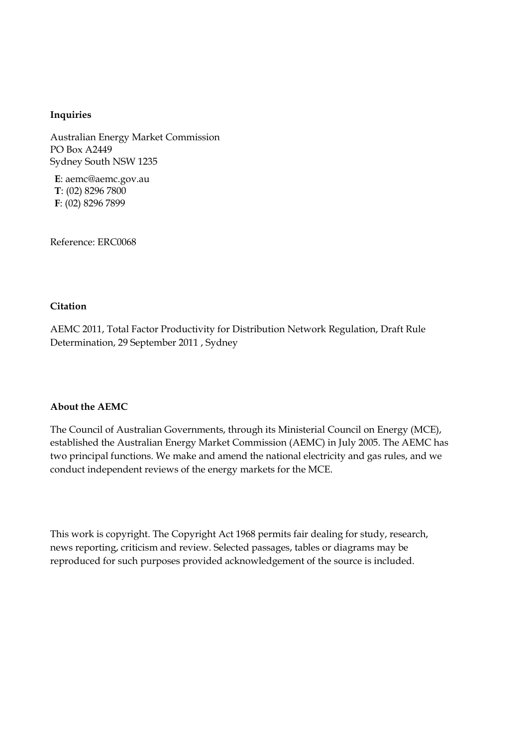#### **Inquiries**

Australian Energy Market Commission PO Box A2449 Sydney South NSW 1235

**E**: aemc@aemc.gov.au **T**: (02) 8296 7800 **F**: (02) 8296 7899

Reference: ERC0068

#### **Citation**

AEMC 2011, Total Factor Productivity for Distribution Network Regulation, Draft Rule Determination, 29 September 2011 , Sydney

#### **About the AEMC**

The Council of Australian Governments, through its Ministerial Council on Energy (MCE), established the Australian Energy Market Commission (AEMC) in July 2005. The AEMC has two principal functions. We make and amend the national electricity and gas rules, and we conduct independent reviews of the energy markets for the MCE.

This work is copyright. The Copyright Act 1968 permits fair dealing for study, research, news reporting, criticism and review. Selected passages, tables or diagrams may be reproduced for such purposes provided acknowledgement of the source is included.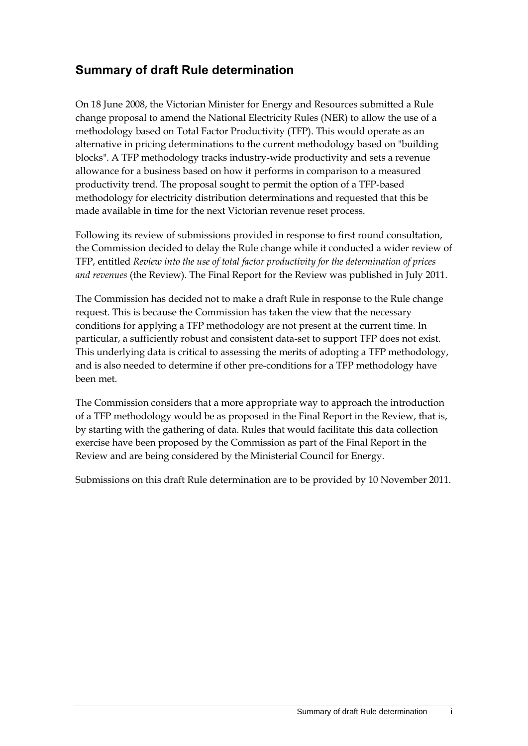## **Summary of draft Rule determination**

On 18 June 2008, the Victorian Minister for Energy and Resources submitted a Rule change proposal to amend the National Electricity Rules (NER) to allow the use of a methodology based on Total Factor Productivity (TFP). This would operate as an alternative in pricing determinations to the current methodology based on "building blocks". A TFP methodology tracks industry-wide productivity and sets a revenue allowance for a business based on how it performs in comparison to a measured productivity trend. The proposal sought to permit the option of a TFP-based methodology for electricity distribution determinations and requested that this be made available in time for the next Victorian revenue reset process.

Following its review of submissions provided in response to first round consultation, the Commission decided to delay the Rule change while it conducted a wider review of TFP, entitled *Review into the use of total factor productivity for the determination of prices and revenues* (the Review). The Final Report for the Review was published in July 2011.

The Commission has decided not to make a draft Rule in response to the Rule change request. This is because the Commission has taken the view that the necessary conditions for applying a TFP methodology are not present at the current time. In particular, a sufficiently robust and consistent data-set to support TFP does not exist. This underlying data is critical to assessing the merits of adopting a TFP methodology, and is also needed to determine if other pre-conditions for a TFP methodology have been met.

The Commission considers that a more appropriate way to approach the introduction of a TFP methodology would be as proposed in the Final Report in the Review, that is, by starting with the gathering of data. Rules that would facilitate this data collection exercise have been proposed by the Commission as part of the Final Report in the Review and are being considered by the Ministerial Council for Energy.

Submissions on this draft Rule determination are to be provided by 10 November 2011.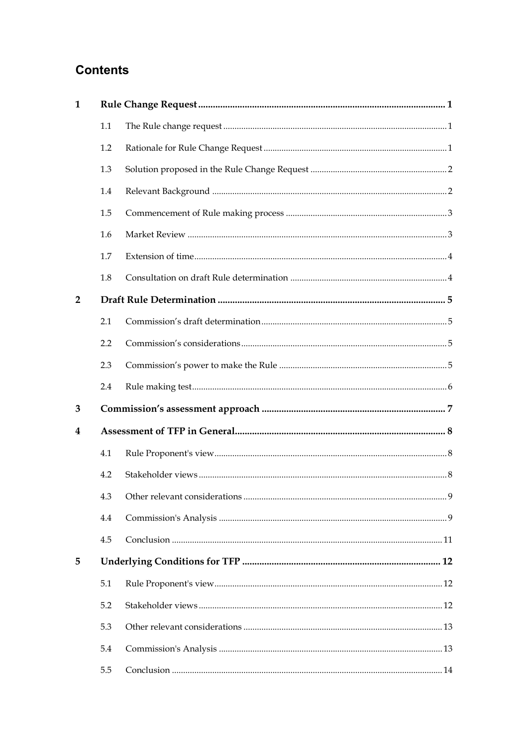## **Contents**

| $\mathbf{1}$   |     |  |  |
|----------------|-----|--|--|
|                | 1.1 |  |  |
|                | 1.2 |  |  |
|                | 1.3 |  |  |
|                | 1.4 |  |  |
|                | 1.5 |  |  |
|                | 1.6 |  |  |
|                | 1.7 |  |  |
|                | 1.8 |  |  |
| $\overline{2}$ |     |  |  |
|                | 2.1 |  |  |
|                | 2.2 |  |  |
|                | 2.3 |  |  |
|                | 2.4 |  |  |
| 3              |     |  |  |
| 4              |     |  |  |
|                | 4.1 |  |  |
|                | 4.2 |  |  |
|                | 4.3 |  |  |
|                | 4.4 |  |  |
|                | 4.5 |  |  |
| 5              |     |  |  |
|                | 5.1 |  |  |
|                | 5.2 |  |  |
|                | 5.3 |  |  |
|                | 5.4 |  |  |
|                | 5.5 |  |  |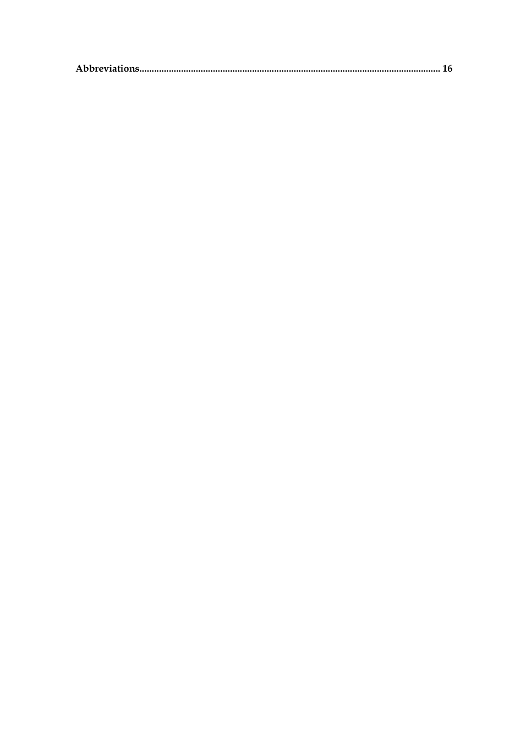|--|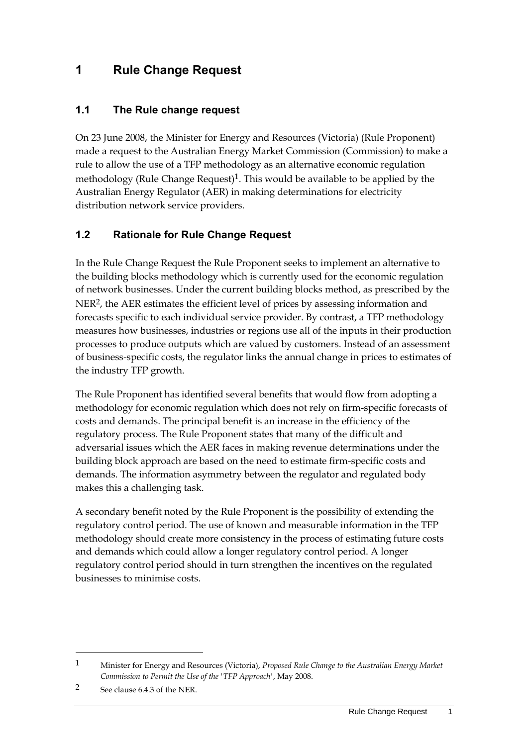## <span id="page-6-0"></span>**1 Rule Change Request**

#### <span id="page-6-1"></span>**1.1 The Rule change request**

On 23 June 2008, the Minister for Energy and Resources (Victoria) (Rule Proponent) made a request to the Australian Energy Market Commission (Commission) to make a rule to allow the use of a TFP methodology as an alternative economic regulation methodology (Rule Change Request)<sup>1</sup>. This would be available to be applied by the Australian Energy Regulator (AER) in making determinations for electricity distribution network service providers.

#### <span id="page-6-2"></span>**1.2 Rationale for Rule Change Request**

In the Rule Change Request the Rule Proponent seeks to implement an alternative to the building blocks methodology which is currently used for the economic regulation of network businesses. Under the current building blocks method, as prescribed by the NER2, the AER estimates the efficient level of prices by assessing information and forecasts specific to each individual service provider. By contrast, a TFP methodology measures how businesses, industries or regions use all of the inputs in their production processes to produce outputs which are valued by customers. Instead of an assessment of business-specific costs, the regulator links the annual change in prices to estimates of the industry TFP growth.

The Rule Proponent has identified several benefits that would flow from adopting a methodology for economic regulation which does not rely on firm-specific forecasts of costs and demands. The principal benefit is an increase in the efficiency of the regulatory process. The Rule Proponent states that many of the difficult and adversarial issues which the AER faces in making revenue determinations under the building block approach are based on the need to estimate firm-specific costs and demands. The information asymmetry between the regulator and regulated body makes this a challenging task.

A secondary benefit noted by the Rule Proponent is the possibility of extending the regulatory control period. The use of known and measurable information in the TFP methodology should create more consistency in the process of estimating future costs and demands which could allow a longer regulatory control period. A longer regulatory control period should in turn strengthen the incentives on the regulated businesses to minimise costs.

<u>.</u>

<sup>1</sup> Minister for Energy and Resources (Victoria), *Proposed Rule Change to the Australian Energy Market Commission to Permit the Use of the 'TFP Approach'*, May 2008.

<sup>2</sup> See clause 6.4.3 of the NER.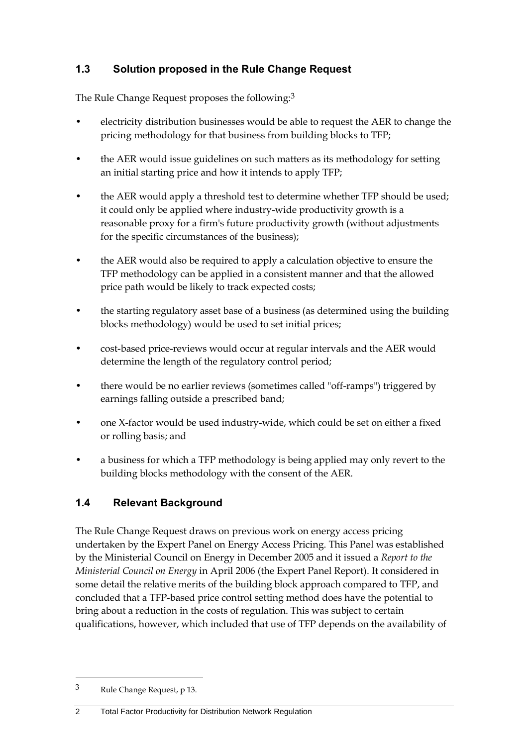### <span id="page-7-0"></span>**1.3 Solution proposed in the Rule Change Request**

The Rule Change Request proposes the following:<sup>3</sup>

- electricity distribution businesses would be able to request the AER to change the pricing methodology for that business from building blocks to TFP;
- the AER would issue guidelines on such matters as its methodology for setting an initial starting price and how it intends to apply TFP;
- the AER would apply a threshold test to determine whether TFP should be used; it could only be applied where industry-wide productivity growth is a reasonable proxy for a firm's future productivity growth (without adjustments for the specific circumstances of the business);
- the AER would also be required to apply a calculation objective to ensure the TFP methodology can be applied in a consistent manner and that the allowed price path would be likely to track expected costs;
- the starting regulatory asset base of a business (as determined using the building blocks methodology) would be used to set initial prices;
- cost-based price-reviews would occur at regular intervals and the AER would determine the length of the regulatory control period;
- there would be no earlier reviews (sometimes called "off-ramps") triggered by earnings falling outside a prescribed band;
- one X-factor would be used industry-wide, which could be set on either a fixed or rolling basis; and
- a business for which a TFP methodology is being applied may only revert to the building blocks methodology with the consent of the AER.

### <span id="page-7-1"></span>**1.4 Relevant Background**

The Rule Change Request draws on previous work on energy access pricing undertaken by the Expert Panel on Energy Access Pricing. This Panel was established by the Ministerial Council on Energy in December 2005 and it issued a *Report to the Ministerial Council on Energy* in April 2006 (the Expert Panel Report). It considered in some detail the relative merits of the building block approach compared to TFP, and concluded that a TFP-based price control setting method does have the potential to bring about a reduction in the costs of regulation. This was subject to certain qualifications, however, which included that use of TFP depends on the availability of

1

<sup>3</sup> Rule Change Request, p 13.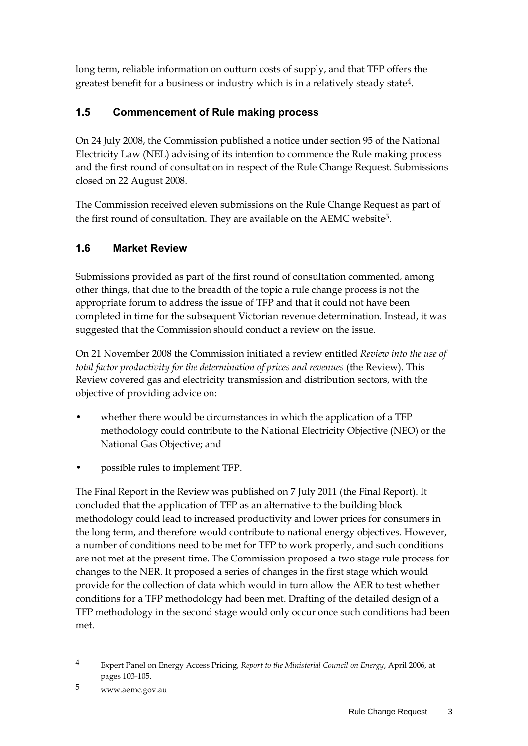long term, reliable information on outturn costs of supply, and that TFP offers the greatest benefit for a business or industry which is in a relatively steady state4.

### <span id="page-8-0"></span>**1.5 Commencement of Rule making process**

On 24 July 2008, the Commission published a notice under section 95 of the National Electricity Law (NEL) advising of its intention to commence the Rule making process and the first round of consultation in respect of the Rule Change Request. Submissions closed on 22 August 2008.

The Commission received eleven submissions on the Rule Change Request as part of the first round of consultation. They are available on the AEMC website<sup>5</sup>.

### <span id="page-8-1"></span>**1.6 Market Review**

Submissions provided as part of the first round of consultation commented, among other things, that due to the breadth of the topic a rule change process is not the appropriate forum to address the issue of TFP and that it could not have been completed in time for the subsequent Victorian revenue determination. Instead, it was suggested that the Commission should conduct a review on the issue.

On 21 November 2008 the Commission initiated a review entitled *Review into the use of total factor productivity for the determination of prices and revenues* (the Review). This Review covered gas and electricity transmission and distribution sectors, with the objective of providing advice on:

- whether there would be circumstances in which the application of a TFP methodology could contribute to the National Electricity Objective (NEO) or the National Gas Objective; and
- possible rules to implement TFP.

The Final Report in the Review was published on 7 July 2011 (the Final Report). It concluded that the application of TFP as an alternative to the building block methodology could lead to increased productivity and lower prices for consumers in the long term, and therefore would contribute to national energy objectives. However, a number of conditions need to be met for TFP to work properly, and such conditions are not met at the present time. The Commission proposed a two stage rule process for changes to the NER. It proposed a series of changes in the first stage which would provide for the collection of data which would in turn allow the AER to test whether conditions for a TFP methodology had been met. Drafting of the detailed design of a TFP methodology in the second stage would only occur once such conditions had been met.

<u>.</u>

<sup>4</sup> Expert Panel on Energy Access Pricing, *Report to the Ministerial Council on Energy*, April 2006, at pages 103-105.

<sup>5</sup> www.aemc.gov.au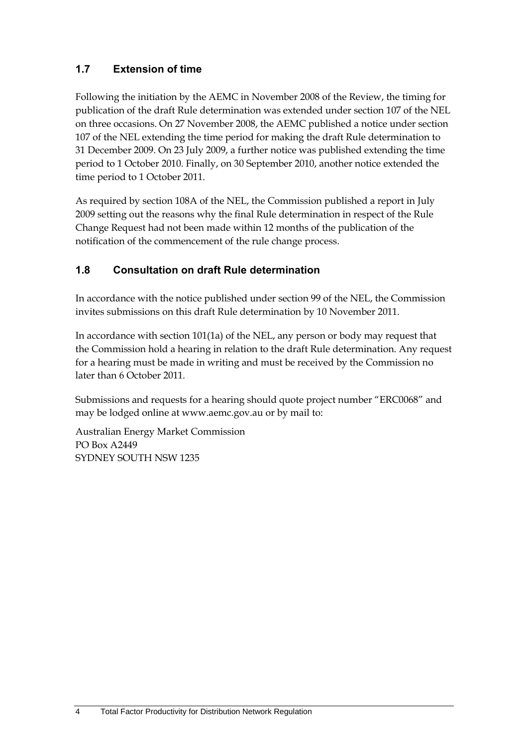### <span id="page-9-0"></span>**1.7 Extension of time**

Following the initiation by the AEMC in November 2008 of the Review, the timing for publication of the draft Rule determination was extended under section 107 of the NEL on three occasions. On 27 November 2008, the AEMC published a notice under section 107 of the NEL extending the time period for making the draft Rule determination to 31 December 2009. On 23 July 2009, a further notice was published extending the time period to 1 October 2010. Finally, on 30 September 2010, another notice extended the time period to 1 October 2011.

As required by section 108A of the NEL, the Commission published a report in July 2009 setting out the reasons why the final Rule determination in respect of the Rule Change Request had not been made within 12 months of the publication of the notification of the commencement of the rule change process.

#### <span id="page-9-1"></span>**1.8 Consultation on draft Rule determination**

In accordance with the notice published under section 99 of the NEL, the Commission invites submissions on this draft Rule determination by 10 November 2011.

In accordance with section 101(1a) of the NEL, any person or body may request that the Commission hold a hearing in relation to the draft Rule determination. Any request for a hearing must be made in writing and must be received by the Commission no later than 6 October 2011.

Submissions and requests for a hearing should quote project number "ERC0068" and may be lodged online at www.aemc.gov.au or by mail to:

Australian Energy Market Commission PO Box A2449 SYDNEY SOUTH NSW 1235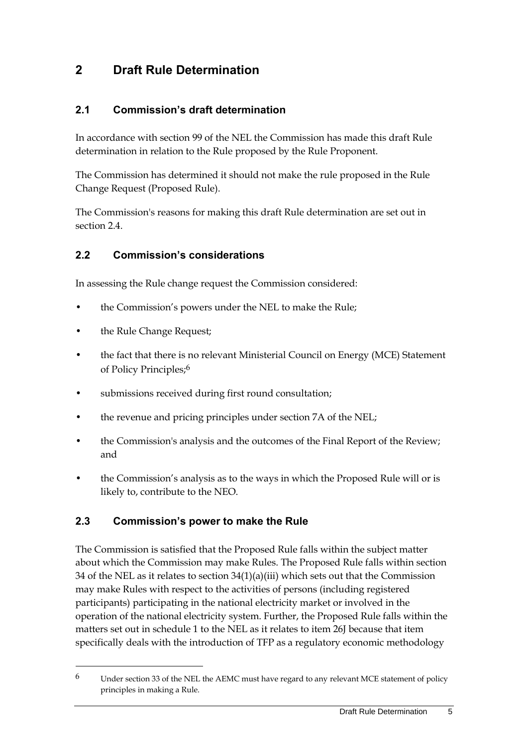## <span id="page-10-0"></span>**2 Draft Rule Determination**

#### <span id="page-10-1"></span>**2.1 Commission's draft determination**

In accordance with section 99 of the NEL the Commission has made this draft Rule determination in relation to the Rule proposed by the Rule Proponent.

The Commission has determined it should not make the rule proposed in the Rule Change Request (Proposed Rule).

The Commission's reasons for making this draft Rule determination are set out in section [2.4.](#page-11-0)

#### <span id="page-10-2"></span>**2.2 Commission's considerations**

In assessing the Rule change request the Commission considered:

- the Commission's powers under the NEL to make the Rule;
- the Rule Change Request;

1

- the fact that there is no relevant Ministerial Council on Energy (MCE) Statement of Policy Principles;6
- submissions received during first round consultation;
- the revenue and pricing principles under section 7A of the NEL;
- the Commission's analysis and the outcomes of the Final Report of the Review; and
- the Commission's analysis as to the ways in which the Proposed Rule will or is likely to, contribute to the NEO.

#### <span id="page-10-3"></span>**2.3 Commission's power to make the Rule**

The Commission is satisfied that the Proposed Rule falls within the subject matter about which the Commission may make Rules. The Proposed Rule falls within section 34 of the NEL as it relates to section 34(1)(a)(iii) which sets out that the Commission may make Rules with respect to the activities of persons (including registered participants) participating in the national electricity market or involved in the operation of the national electricity system. Further, the Proposed Rule falls within the matters set out in schedule 1 to the NEL as it relates to item 26J because that item specifically deals with the introduction of TFP as a regulatory economic methodology

 $6$  Under section 33 of the NEL the AEMC must have regard to any relevant MCE statement of policy principles in making a Rule.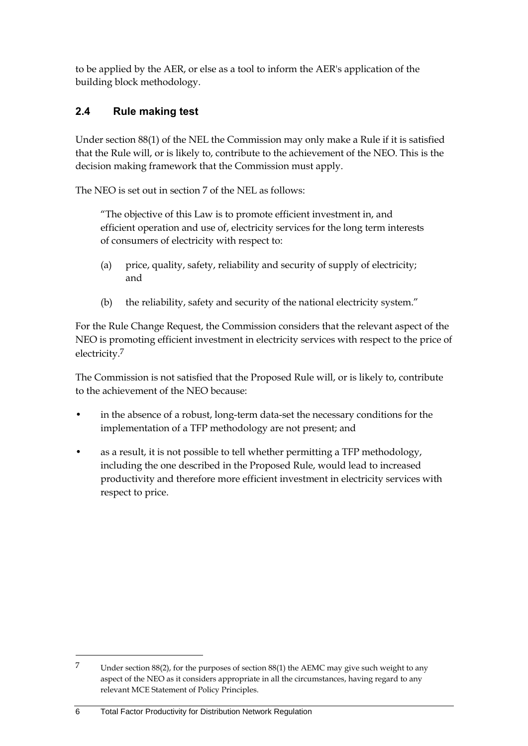to be applied by the AER, or else as a tool to inform the AER's application of the building block methodology.

### <span id="page-11-0"></span>**2.4 Rule making test**

Under section 88(1) of the NEL the Commission may only make a Rule if it is satisfied that the Rule will, or is likely to, contribute to the achievement of the NEO. This is the decision making framework that the Commission must apply.

The NEO is set out in section 7 of the NEL as follows:

"The objective of this Law is to promote efficient investment in, and efficient operation and use of, electricity services for the long term interests of consumers of electricity with respect to:

- (a) price, quality, safety, reliability and security of supply of electricity; and
- (b) the reliability, safety and security of the national electricity system."

For the Rule Change Request, the Commission considers that the relevant aspect of the NEO is promoting efficient investment in electricity services with respect to the price of electricity.7

The Commission is not satisfied that the Proposed Rule will, or is likely to, contribute to the achievement of the NEO because:

- in the absence of a robust, long-term data-set the necessary conditions for the implementation of a TFP methodology are not present; and
- as a result, it is not possible to tell whether permitting a TFP methodology, including the one described in the Proposed Rule, would lead to increased productivity and therefore more efficient investment in electricity services with respect to price.

6 Total Factor Productivity for Distribution Network Regulation

<u>.</u>

<sup>7</sup> Under section 88(2), for the purposes of section 88(1) the AEMC may give such weight to any aspect of the NEO as it considers appropriate in all the circumstances, having regard to any relevant MCE Statement of Policy Principles.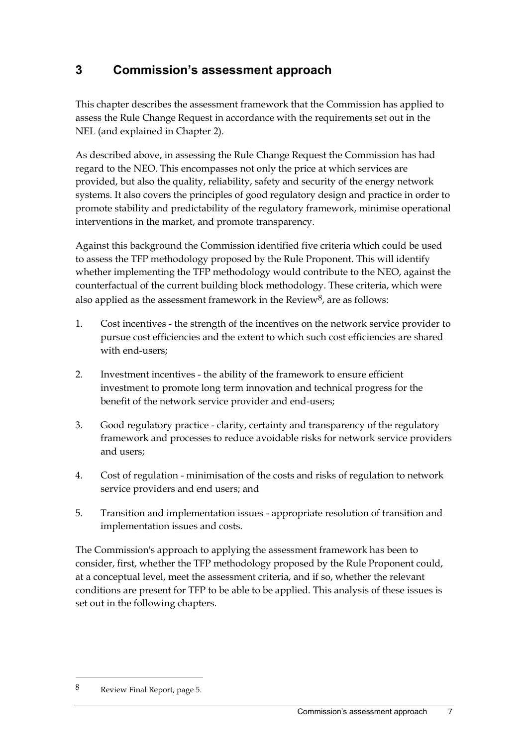## <span id="page-12-0"></span>**3 Commission's assessment approach**

This chapter describes the assessment framework that the Commission has applied to assess the Rule Change Request in accordance with the requirements set out in the NEL (and explained in Chapter 2).

As described above, in assessing the Rule Change Request the Commission has had regard to the NEO. This encompasses not only the price at which services are provided, but also the quality, reliability, safety and security of the energy network systems. It also covers the principles of good regulatory design and practice in order to promote stability and predictability of the regulatory framework, minimise operational interventions in the market, and promote transparency.

Against this background the Commission identified five criteria which could be used to assess the TFP methodology proposed by the Rule Proponent. This will identify whether implementing the TFP methodology would contribute to the NEO, against the counterfactual of the current building block methodology. These criteria, which were also applied as the assessment framework in the Review<sup>8</sup>, are as follows:

- 1. Cost incentives the strength of the incentives on the network service provider to pursue cost efficiencies and the extent to which such cost efficiencies are shared with end-users;
- 2. Investment incentives the ability of the framework to ensure efficient investment to promote long term innovation and technical progress for the benefit of the network service provider and end-users;
- 3. Good regulatory practice clarity, certainty and transparency of the regulatory framework and processes to reduce avoidable risks for network service providers and users;
- 4. Cost of regulation minimisation of the costs and risks of regulation to network service providers and end users; and
- 5. Transition and implementation issues appropriate resolution of transition and implementation issues and costs.

The Commission's approach to applying the assessment framework has been to consider, first, whether the TFP methodology proposed by the Rule Proponent could, at a conceptual level, meet the assessment criteria, and if so, whether the relevant conditions are present for TFP to be able to be applied. This analysis of these issues is set out in the following chapters.

1

<sup>8</sup> Review Final Report, page 5.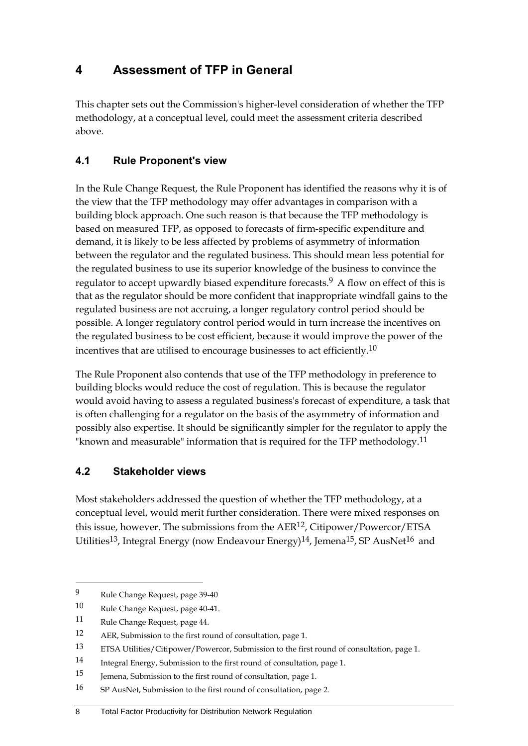## <span id="page-13-0"></span>**4 Assessment of TFP in General**

This chapter sets out the Commission's higher-level consideration of whether the TFP methodology, at a conceptual level, could meet the assessment criteria described above.

#### <span id="page-13-1"></span>**4.1 Rule Proponent's view**

In the Rule Change Request, the Rule Proponent has identified the reasons why it is of the view that the TFP methodology may offer advantages in comparison with a building block approach. One such reason is that because the TFP methodology is based on measured TFP, as opposed to forecasts of firm-specific expenditure and demand, it is likely to be less affected by problems of asymmetry of information between the regulator and the regulated business. This should mean less potential for the regulated business to use its superior knowledge of the business to convince the regulator to accept upwardly biased expenditure forecasts.<sup>9</sup> A flow on effect of this is that as the regulator should be more confident that inappropriate windfall gains to the regulated business are not accruing, a longer regulatory control period should be possible. A longer regulatory control period would in turn increase the incentives on the regulated business to be cost efficient, because it would improve the power of the incentives that are utilised to encourage businesses to act efficiently.<sup>10</sup>

The Rule Proponent also contends that use of the TFP methodology in preference to building blocks would reduce the cost of regulation. This is because the regulator would avoid having to assess a regulated business's forecast of expenditure, a task that is often challenging for a regulator on the basis of the asymmetry of information and possibly also expertise. It should be significantly simpler for the regulator to apply the "known and measurable" information that is required for the TFP methodology.<sup>11</sup>

#### <span id="page-13-2"></span>**4.2 Stakeholder views**

Most stakeholders addressed the question of whether the TFP methodology, at a conceptual level, would merit further consideration. There were mixed responses on this issue, however. The submissions from the  $AER^{12}$ , Citipower/Powercor/ETSA Utilities<sup>13</sup>, Integral Energy (now Endeavour Energy)<sup>14</sup>, Jemena<sup>15</sup>, SP AusNet<sup>16</sup> and

<u>.</u>

#### 8 Total Factor Productivity for Distribution Network Regulation

<sup>9</sup> Rule Change Request, page 39-40

<sup>10</sup> Rule Change Request, page 40-41.

<sup>11</sup> Rule Change Request, page 44.

<sup>12</sup> AER, Submission to the first round of consultation, page 1.

<sup>13</sup> ETSA Utilities/Citipower/Powercor, Submission to the first round of consultation, page 1.

<sup>14</sup> Integral Energy, Submission to the first round of consultation, page 1.

<sup>15</sup> Jemena, Submission to the first round of consultation, page 1.

<sup>16</sup> SP AusNet, Submission to the first round of consultation, page 2.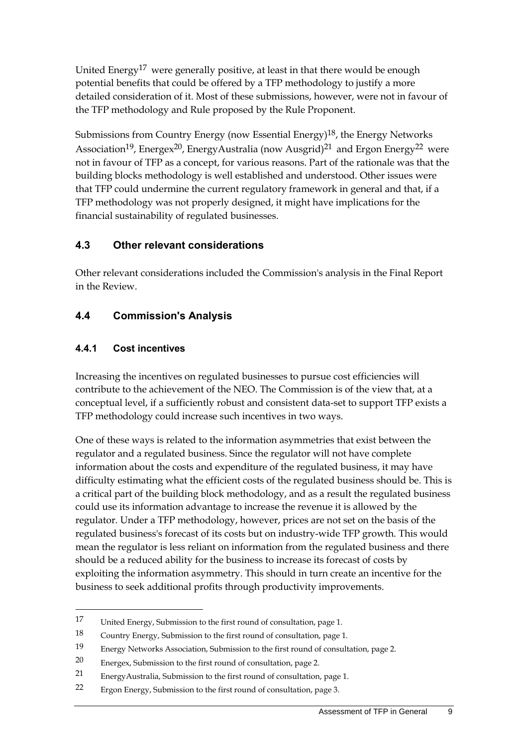United Energy<sup>17</sup> were generally positive, at least in that there would be enough potential benefits that could be offered by a TFP methodology to justify a more detailed consideration of it. Most of these submissions, however, were not in favour of the TFP methodology and Rule proposed by the Rule Proponent.

Submissions from Country Energy (now Essential Energy)18, the Energy Networks Association<sup>19</sup>, Energex<sup>20</sup>, EnergyAustralia (now Ausgrid)<sup>21</sup> and Ergon Energy<sup>22</sup> were not in favour of TFP as a concept, for various reasons. Part of the rationale was that the building blocks methodology is well established and understood. Other issues were that TFP could undermine the current regulatory framework in general and that, if a TFP methodology was not properly designed, it might have implications for the financial sustainability of regulated businesses.

#### <span id="page-14-0"></span>**4.3 Other relevant considerations**

Other relevant considerations included the Commission's analysis in the Final Report in the Review.

#### <span id="page-14-1"></span>**4.4 Commission's Analysis**

#### **4.4.1 Cost incentives**

<u>.</u>

Increasing the incentives on regulated businesses to pursue cost efficiencies will contribute to the achievement of the NEO. The Commission is of the view that, at a conceptual level, if a sufficiently robust and consistent data-set to support TFP exists a TFP methodology could increase such incentives in two ways.

One of these ways is related to the information asymmetries that exist between the regulator and a regulated business. Since the regulator will not have complete information about the costs and expenditure of the regulated business, it may have difficulty estimating what the efficient costs of the regulated business should be. This is a critical part of the building block methodology, and as a result the regulated business could use its information advantage to increase the revenue it is allowed by the regulator. Under a TFP methodology, however, prices are not set on the basis of the regulated business's forecast of its costs but on industry-wide TFP growth. This would mean the regulator is less reliant on information from the regulated business and there should be a reduced ability for the business to increase its forecast of costs by exploiting the information asymmetry. This should in turn create an incentive for the business to seek additional profits through productivity improvements.

<sup>17</sup> United Energy, Submission to the first round of consultation, page 1.

<sup>18</sup> Country Energy, Submission to the first round of consultation, page 1.

<sup>19</sup> Energy Networks Association, Submission to the first round of consultation, page 2.

<sup>20</sup> Energex, Submission to the first round of consultation, page 2.

<sup>21</sup> EnergyAustralia, Submission to the first round of consultation, page 1.

<sup>22</sup> Ergon Energy, Submission to the first round of consultation, page 3.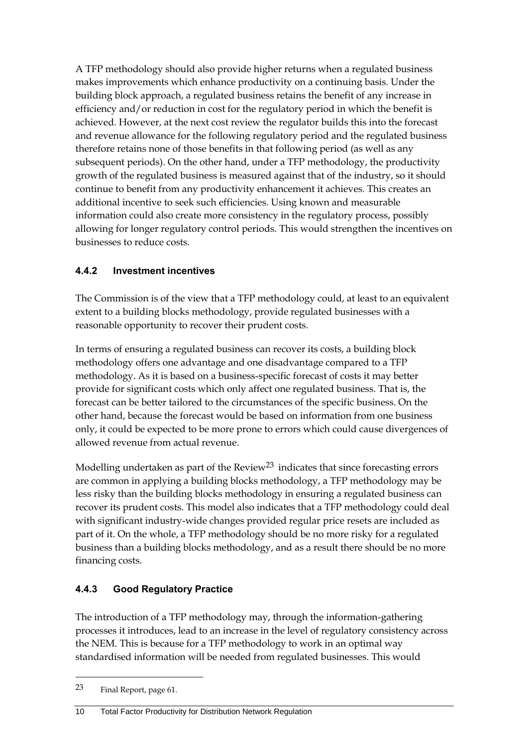A TFP methodology should also provide higher returns when a regulated business makes improvements which enhance productivity on a continuing basis. Under the building block approach, a regulated business retains the benefit of any increase in efficiency and/or reduction in cost for the regulatory period in which the benefit is achieved. However, at the next cost review the regulator builds this into the forecast and revenue allowance for the following regulatory period and the regulated business therefore retains none of those benefits in that following period (as well as any subsequent periods). On the other hand, under a TFP methodology, the productivity growth of the regulated business is measured against that of the industry, so it should continue to benefit from any productivity enhancement it achieves. This creates an additional incentive to seek such efficiencies. Using known and measurable information could also create more consistency in the regulatory process, possibly allowing for longer regulatory control periods. This would strengthen the incentives on businesses to reduce costs.

#### **4.4.2 Investment incentives**

The Commission is of the view that a TFP methodology could, at least to an equivalent extent to a building blocks methodology, provide regulated businesses with a reasonable opportunity to recover their prudent costs.

In terms of ensuring a regulated business can recover its costs, a building block methodology offers one advantage and one disadvantage compared to a TFP methodology. As it is based on a business-specific forecast of costs it may better provide for significant costs which only affect one regulated business. That is, the forecast can be better tailored to the circumstances of the specific business. On the other hand, because the forecast would be based on information from one business only, it could be expected to be more prone to errors which could cause divergences of allowed revenue from actual revenue.

Modelling undertaken as part of the Review<sup>23</sup> indicates that since forecasting errors are common in applying a building blocks methodology, a TFP methodology may be less risky than the building blocks methodology in ensuring a regulated business can recover its prudent costs. This model also indicates that a TFP methodology could deal with significant industry-wide changes provided regular price resets are included as part of it. On the whole, a TFP methodology should be no more risky for a regulated business than a building blocks methodology, and as a result there should be no more financing costs.

### **4.4.3 Good Regulatory Practice**

The introduction of a TFP methodology may, through the information-gathering processes it introduces, lead to an increase in the level of regulatory consistency across the NEM. This is because for a TFP methodology to work in an optimal way standardised information will be needed from regulated businesses. This would

1

#### 10 Total Factor Productivity for Distribution Network Regulation

<sup>23</sup> Final Report, page 61.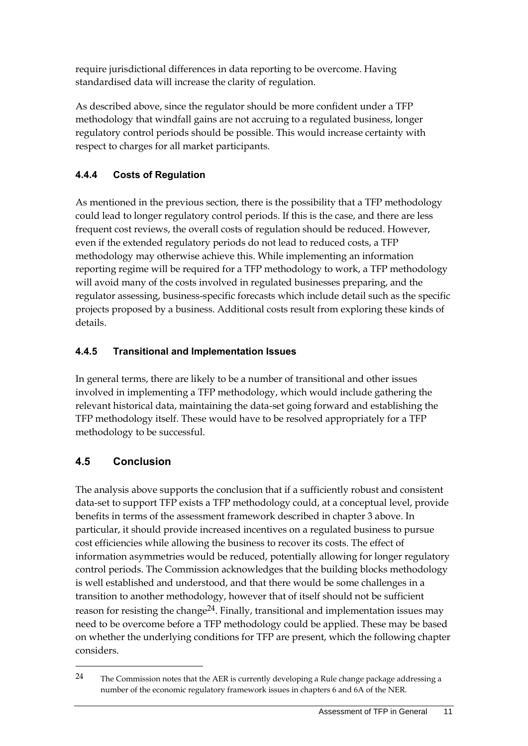require jurisdictional differences in data reporting to be overcome. Having standardised data will increase the clarity of regulation.

As described above, since the regulator should be more confident under a TFP methodology that windfall gains are not accruing to a regulated business, longer regulatory control periods should be possible. This would increase certainty with respect to charges for all market participants.

#### **4.4.4 Costs of Regulation**

As mentioned in the previous section, there is the possibility that a TFP methodology could lead to longer regulatory control periods. If this is the case, and there are less frequent cost reviews, the overall costs of regulation should be reduced. However, even if the extended regulatory periods do not lead to reduced costs, a TFP methodology may otherwise achieve this. While implementing an information reporting regime will be required for a TFP methodology to work, a TFP methodology will avoid many of the costs involved in regulated businesses preparing, and the regulator assessing, business-specific forecasts which include detail such as the specific projects proposed by a business. Additional costs result from exploring these kinds of details.

#### **4.4.5 Transitional and Implementation Issues**

In general terms, there are likely to be a number of transitional and other issues involved in implementing a TFP methodology, which would include gathering the relevant historical data, maintaining the data-set going forward and establishing the TFP methodology itself. These would have to be resolved appropriately for a TFP methodology to be successful.

### <span id="page-16-0"></span>**4.5 Conclusion**

1

The analysis above supports the conclusion that if a sufficiently robust and consistent data-set to support TFP exists a TFP methodology could, at a conceptual level, provide benefits in terms of the assessment framework described in chapter 3 above. In particular, it should provide increased incentives on a regulated business to pursue cost efficiencies while allowing the business to recover its costs. The effect of information asymmetries would be reduced, potentially allowing for longer regulatory control periods. The Commission acknowledges that the building blocks methodology is well established and understood, and that there would be some challenges in a transition to another methodology, however that of itself should not be sufficient reason for resisting the change<sup>24</sup>. Finally, transitional and implementation issues may need to be overcome before a TFP methodology could be applied. These may be based on whether the underlying conditions for TFP are present, which the following chapter considers.

<sup>24</sup> The Commission notes that the AER is currently developing a Rule change package addressing a number of the economic regulatory framework issues in chapters 6 and 6A of the NER.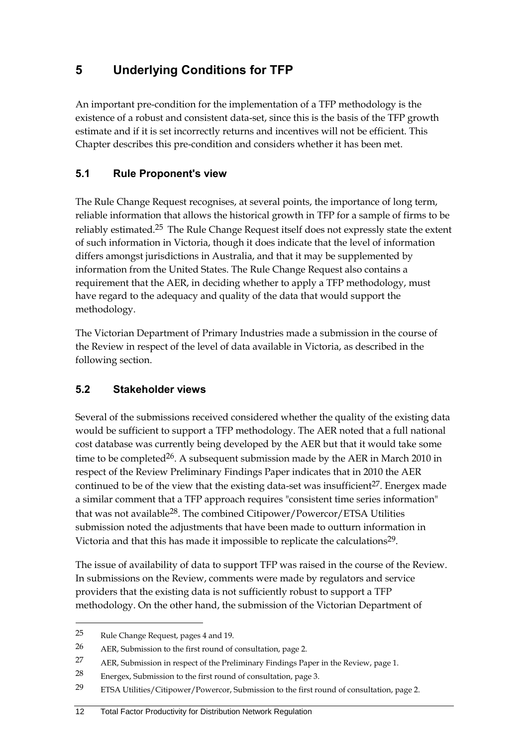## <span id="page-17-0"></span>**5 Underlying Conditions for TFP**

An important pre-condition for the implementation of a TFP methodology is the existence of a robust and consistent data-set, since this is the basis of the TFP growth estimate and if it is set incorrectly returns and incentives will not be efficient. This Chapter describes this pre-condition and considers whether it has been met.

#### <span id="page-17-1"></span>**5.1 Rule Proponent's view**

The Rule Change Request recognises, at several points, the importance of long term, reliable information that allows the historical growth in TFP for a sample of firms to be reliably estimated.25 The Rule Change Request itself does not expressly state the extent of such information in Victoria, though it does indicate that the level of information differs amongst jurisdictions in Australia, and that it may be supplemented by information from the United States. The Rule Change Request also contains a requirement that the AER, in deciding whether to apply a TFP methodology, must have regard to the adequacy and quality of the data that would support the methodology.

The Victorian Department of Primary Industries made a submission in the course of the Review in respect of the level of data available in Victoria, as described in the following section.

#### <span id="page-17-2"></span>**5.2 Stakeholder views**

Several of the submissions received considered whether the quality of the existing data would be sufficient to support a TFP methodology. The AER noted that a full national cost database was currently being developed by the AER but that it would take some time to be completed<sup>26</sup>. A subsequent submission made by the AER in March 2010 in respect of the Review Preliminary Findings Paper indicates that in 2010 the AER continued to be of the view that the existing data-set was insufficient<sup>27</sup>. Energex made a similar comment that a TFP approach requires "consistent time series information" that was not available<sup>28</sup>. The combined Citipower/Powercor/ETSA Utilities submission noted the adjustments that have been made to outturn information in Victoria and that this has made it impossible to replicate the calculations<sup>29</sup>.

The issue of availability of data to support TFP was raised in the course of the Review. In submissions on the Review, comments were made by regulators and service providers that the existing data is not sufficiently robust to support a TFP methodology. On the other hand, the submission of the Victorian Department of

1

<sup>25</sup> Rule Change Request, pages 4 and 19.

<sup>26</sup> AER, Submission to the first round of consultation, page 2.

<sup>27</sup> AER, Submission in respect of the Preliminary Findings Paper in the Review, page 1.

<sup>28</sup> Energex, Submission to the first round of consultation, page 3.

<sup>29</sup> ETSA Utilities/Citipower/Powercor, Submission to the first round of consultation, page 2.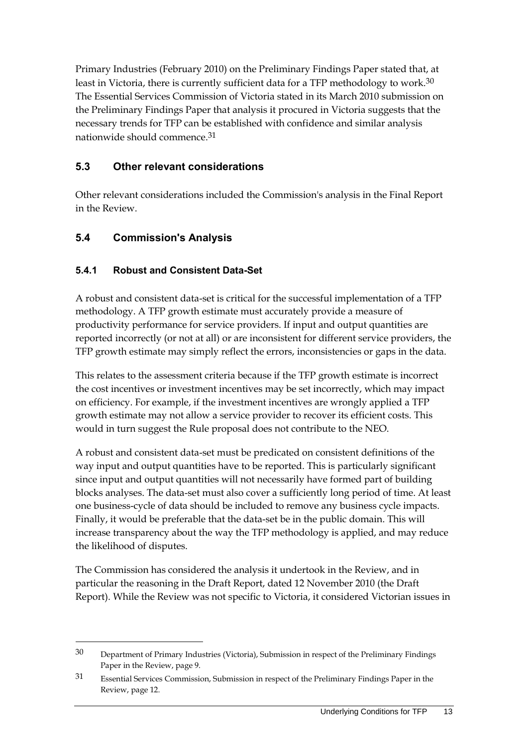Primary Industries (February 2010) on the Preliminary Findings Paper stated that, at least in Victoria, there is currently sufficient data for a TFP methodology to work.<sup>30</sup> The Essential Services Commission of Victoria stated in its March 2010 submission on the Preliminary Findings Paper that analysis it procured in Victoria suggests that the necessary trends for TFP can be established with confidence and similar analysis nationwide should commence.31

#### <span id="page-18-0"></span>**5.3 Other relevant considerations**

Other relevant considerations included the Commission's analysis in the Final Report in the Review.

#### <span id="page-18-1"></span>**5.4 Commission's Analysis**

<u>.</u>

#### **5.4.1 Robust and Consistent Data-Set**

A robust and consistent data-set is critical for the successful implementation of a TFP methodology. A TFP growth estimate must accurately provide a measure of productivity performance for service providers. If input and output quantities are reported incorrectly (or not at all) or are inconsistent for different service providers, the TFP growth estimate may simply reflect the errors, inconsistencies or gaps in the data.

This relates to the assessment criteria because if the TFP growth estimate is incorrect the cost incentives or investment incentives may be set incorrectly, which may impact on efficiency. For example, if the investment incentives are wrongly applied a TFP growth estimate may not allow a service provider to recover its efficient costs. This would in turn suggest the Rule proposal does not contribute to the NEO.

A robust and consistent data-set must be predicated on consistent definitions of the way input and output quantities have to be reported. This is particularly significant since input and output quantities will not necessarily have formed part of building blocks analyses. The data-set must also cover a sufficiently long period of time. At least one business-cycle of data should be included to remove any business cycle impacts. Finally, it would be preferable that the data-set be in the public domain. This will increase transparency about the way the TFP methodology is applied, and may reduce the likelihood of disputes.

The Commission has considered the analysis it undertook in the Review, and in particular the reasoning in the Draft Report, dated 12 November 2010 (the Draft Report). While the Review was not specific to Victoria, it considered Victorian issues in

<sup>30</sup> Department of Primary Industries (Victoria), Submission in respect of the Preliminary Findings Paper in the Review, page 9.

<sup>31</sup> Essential Services Commission, Submission in respect of the Preliminary Findings Paper in the Review, page 12.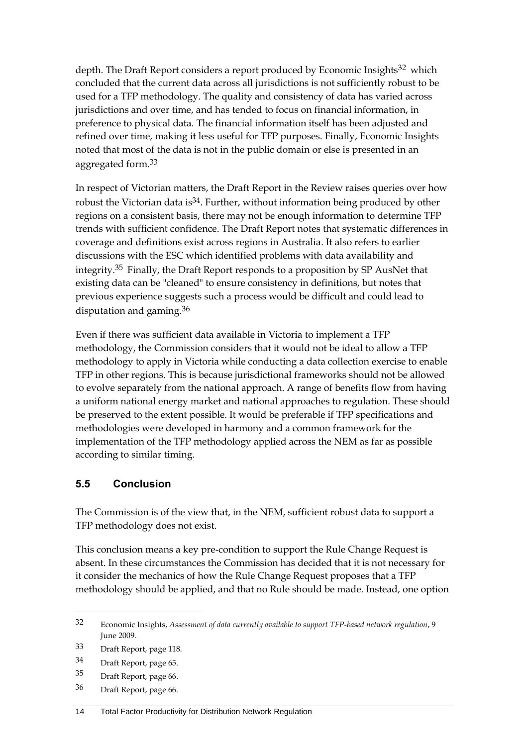depth. The Draft Report considers a report produced by Economic Insights<sup>32</sup> which concluded that the current data across all jurisdictions is not sufficiently robust to be used for a TFP methodology. The quality and consistency of data has varied across jurisdictions and over time, and has tended to focus on financial information, in preference to physical data. The financial information itself has been adjusted and refined over time, making it less useful for TFP purposes. Finally, Economic Insights noted that most of the data is not in the public domain or else is presented in an aggregated form.33

In respect of Victorian matters, the Draft Report in the Review raises queries over how robust the Victorian data is<sup>34</sup>. Further, without information being produced by other regions on a consistent basis, there may not be enough information to determine TFP trends with sufficient confidence. The Draft Report notes that systematic differences in coverage and definitions exist across regions in Australia. It also refers to earlier discussions with the ESC which identified problems with data availability and integrity.35 Finally, the Draft Report responds to a proposition by SP AusNet that existing data can be "cleaned" to ensure consistency in definitions, but notes that previous experience suggests such a process would be difficult and could lead to disputation and gaming.36

Even if there was sufficient data available in Victoria to implement a TFP methodology, the Commission considers that it would not be ideal to allow a TFP methodology to apply in Victoria while conducting a data collection exercise to enable TFP in other regions. This is because jurisdictional frameworks should not be allowed to evolve separately from the national approach. A range of benefits flow from having a uniform national energy market and national approaches to regulation. These should be preserved to the extent possible. It would be preferable if TFP specifications and methodologies were developed in harmony and a common framework for the implementation of the TFP methodology applied across the NEM as far as possible according to similar timing.

#### <span id="page-19-0"></span>**5.5 Conclusion**

The Commission is of the view that, in the NEM, sufficient robust data to support a TFP methodology does not exist.

This conclusion means a key pre-condition to support the Rule Change Request is absent. In these circumstances the Commission has decided that it is not necessary for it consider the mechanics of how the Rule Change Request proposes that a TFP methodology should be applied, and that no Rule should be made. Instead, one option

<u>.</u>

36 Draft Report, page 66.

<sup>32</sup> Economic Insights, *Assessment of data currently available to support TFP-based network regulation*, 9 June 2009.

<sup>33</sup> Draft Report, page 118.

<sup>34</sup> Draft Report, page 65.

<sup>35</sup> Draft Report, page 66.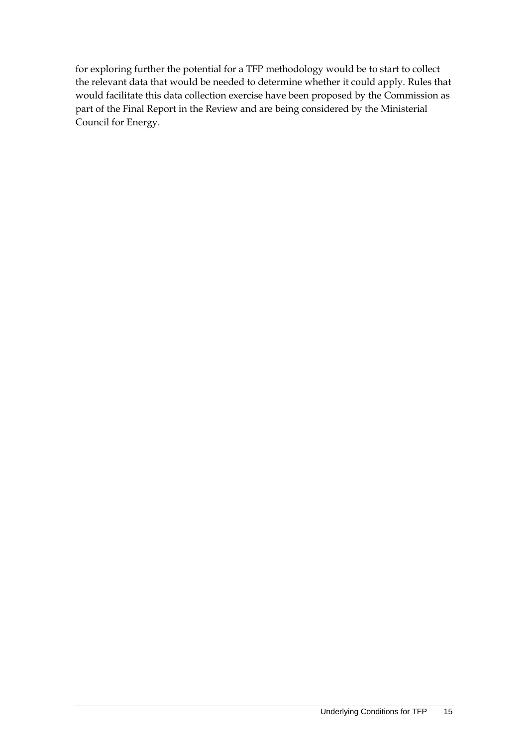for exploring further the potential for a TFP methodology would be to start to collect the relevant data that would be needed to determine whether it could apply. Rules that would facilitate this data collection exercise have been proposed by the Commission as part of the Final Report in the Review and are being considered by the Ministerial Council for Energy.